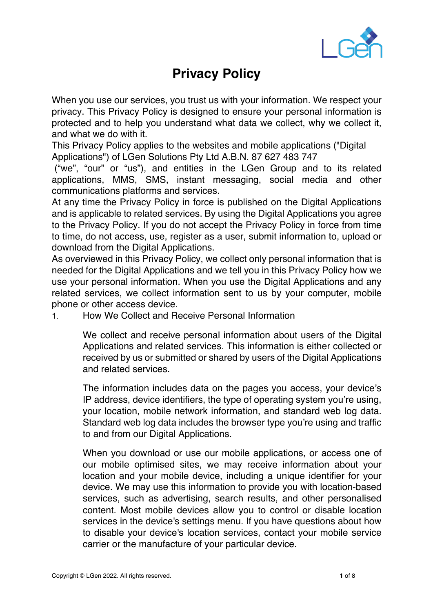

## **Privacy Policy**

When you use our services, you trust us with your information. We respect your privacy. This Privacy Policy is designed to ensure your personal information is protected and to help you understand what data we collect, why we collect it, and what we do with it.

This Privacy Policy applies to the websites and mobile applications ("Digital Applications") of LGen Solutions Pty Ltd A.B.N. 87 627 483 747

("we", "our" or "us"), and entities in the LGen Group and to its related applications, MMS, SMS, instant messaging, social media and other communications platforms and services.

At any time the Privacy Policy in force is published on the Digital Applications and is applicable to related services. By using the Digital Applications you agree to the Privacy Policy. If you do not accept the Privacy Policy in force from time to time, do not access, use, register as a user, submit information to, upload or download from the Digital Applications.

As overviewed in this Privacy Policy, we collect only personal information that is needed for the Digital Applications and we tell you in this Privacy Policy how we use your personal information. When you use the Digital Applications and any related services, we collect information sent to us by your computer, mobile phone or other access device.

1. How We Collect and Receive Personal Information

We collect and receive personal information about users of the Digital Applications and related services. This information is either collected or received by us or submitted or shared by users of the Digital Applications and related services.

The information includes data on the pages you access, your device's IP address, device identifiers, the type of operating system you're using, your location, mobile network information, and standard web log data. Standard web log data includes the browser type you're using and traffic to and from our Digital Applications.

When you download or use our mobile applications, or access one of our mobile optimised sites, we may receive information about your location and your mobile device, including a unique identifier for your device. We may use this information to provide you with location-based services, such as advertising, search results, and other personalised content. Most mobile devices allow you to control or disable location services in the device's settings menu. If you have questions about how to disable your device's location services, contact your mobile service carrier or the manufacture of your particular device.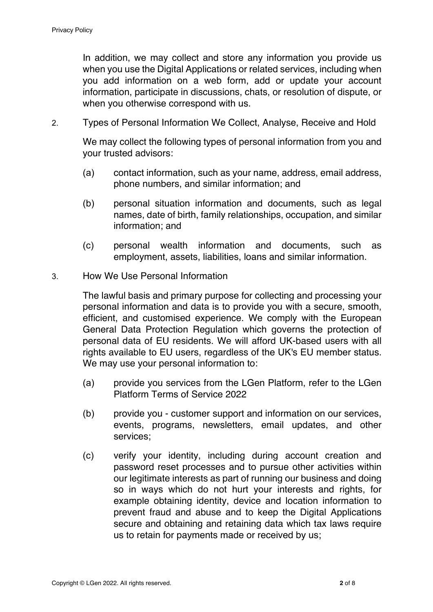In addition, we may collect and store any information you provide us when you use the Digital Applications or related services, including when you add information on a web form, add or update your account information, participate in discussions, chats, or resolution of dispute, or when you otherwise correspond with us.

2. Types of Personal Information We Collect, Analyse, Receive and Hold

We may collect the following types of personal information from you and your trusted advisors:

- (a) contact information, such as your name, address, email address, phone numbers, and similar information; and
- (b) personal situation information and documents, such as legal names, date of birth, family relationships, occupation, and similar information; and
- (c) personal wealth information and documents, such as employment, assets, liabilities, loans and similar information.
- 3. How We Use Personal Information

The lawful basis and primary purpose for collecting and processing your personal information and data is to provide you with a secure, smooth, efficient, and customised experience. We comply with the European General Data Protection Regulation which governs the protection of personal data of EU residents. We will afford UK-based users with all rights available to EU users, regardless of the UK's EU member status. We may use your personal information to:

- (a) provide you services from the LGen Platform, refer to the LGen Platform Terms of Service 2022
- (b) provide you customer support and information on our services, events, programs, newsletters, email updates, and other services;
- (c) verify your identity, including during account creation and password reset processes and to pursue other activities within our legitimate interests as part of running our business and doing so in ways which do not hurt your interests and rights, for example obtaining identity, device and location information to prevent fraud and abuse and to keep the Digital Applications secure and obtaining and retaining data which tax laws require us to retain for payments made or received by us;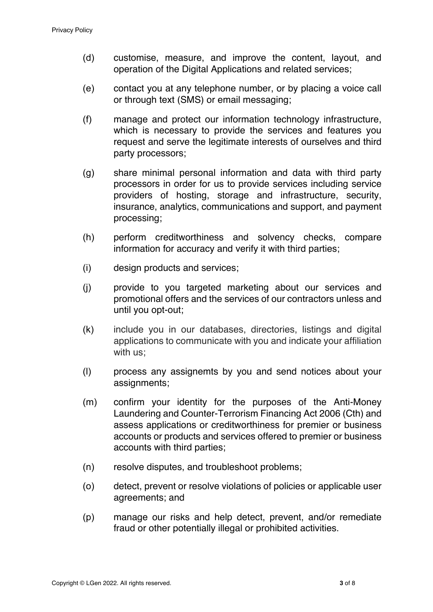- (d) customise, measure, and improve the content, layout, and operation of the Digital Applications and related services;
- (e) contact you at any telephone number, or by placing a voice call or through text (SMS) or email messaging;
- (f) manage and protect our information technology infrastructure, which is necessary to provide the services and features you request and serve the legitimate interests of ourselves and third party processors;
- (g) share minimal personal information and data with third party processors in order for us to provide services including service providers of hosting, storage and infrastructure, security, insurance, analytics, communications and support, and payment processing;
- (h) perform creditworthiness and solvency checks, compare information for accuracy and verify it with third parties;
- (i) design products and services;
- (j) provide to you targeted marketing about our services and promotional offers and the services of our contractors unless and until you opt-out;
- (k) include you in our databases, directories, listings and digital applications to communicate with you and indicate your affiliation with us;
- (l) process any assignemts by you and send notices about your assignments;
- (m) confirm your identity for the purposes of the Anti-Money Laundering and Counter-Terrorism Financing Act 2006 (Cth) and assess applications or creditworthiness for premier or business accounts or products and services offered to premier or business accounts with third parties;
- (n) resolve disputes, and troubleshoot problems;
- (o) detect, prevent or resolve violations of policies or applicable user agreements; and
- (p) manage our risks and help detect, prevent, and/or remediate fraud or other potentially illegal or prohibited activities.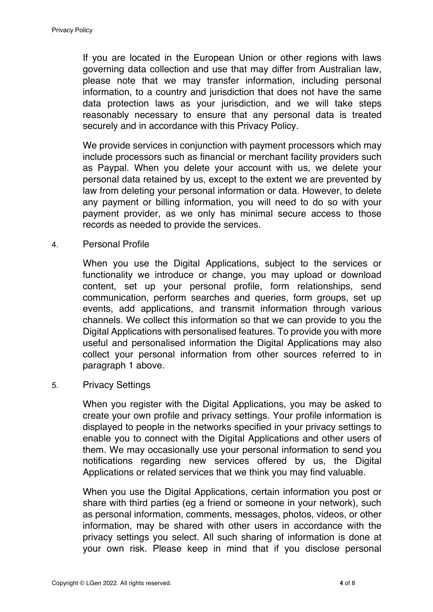If you are located in the European Union or other regions with laws governing data collection and use that may differ from Australian law, please note that we may transfer information, including personal information, to a country and jurisdiction that does not have the same data protection laws as your jurisdiction, and we will take steps reasonably necessary to ensure that any personal data is treated securely and in accordance with this Privacy Policy.

We provide services in conjunction with payment processors which may include processors such as financial or merchant facility providers such as Paypal. When you delete your account with us, we delete your personal data retained by us, except to the extent we are prevented by law from deleting your personal information or data. However, to delete any payment or billing information, you will need to do so with your payment provider, as we only has minimal secure access to those records as needed to provide the services.

4. Personal Profile

When you use the Digital Applications, subject to the services or functionality we introduce or change, you may upload or download content, set up your personal profile, form relationships, send communication, perform searches and queries, form groups, set up events, add applications, and transmit information through various channels. We collect this information so that we can provide to you the Digital Applications with personalised features. To provide you with more useful and personalised information the Digital Applications may also collect your personal information from other sources referred to in paragraph 1 above.

5. Privacy Settings

When you register with the Digital Applications, you may be asked to create your own profile and privacy settings. Your profile information is displayed to people in the networks specified in your privacy settings to enable you to connect with the Digital Applications and other users of them. We may occasionally use your personal information to send you notifications regarding new services offered by us, the Digital Applications or related services that we think you may find valuable.

When you use the Digital Applications, certain information you post or share with third parties (eg a friend or someone in your network), such as personal information, comments, messages, photos, videos, or other information, may be shared with other users in accordance with the privacy settings you select. All such sharing of information is done at your own risk. Please keep in mind that if you disclose personal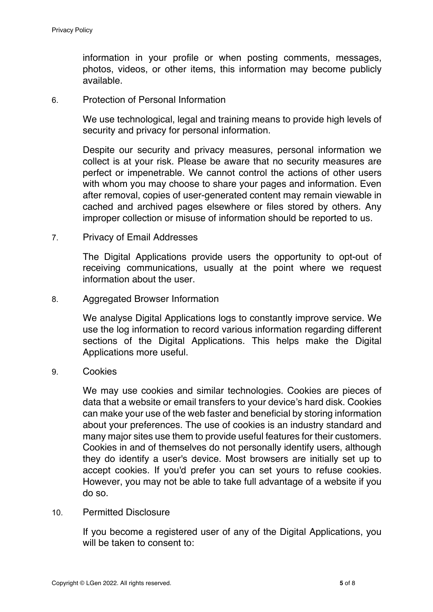information in your profile or when posting comments, messages, photos, videos, or other items, this information may become publicly available.

6. Protection of Personal Information

We use technological, legal and training means to provide high levels of security and privacy for personal information.

Despite our security and privacy measures, personal information we collect is at your risk. Please be aware that no security measures are perfect or impenetrable. We cannot control the actions of other users with whom you may choose to share your pages and information. Even after removal, copies of user-generated content may remain viewable in cached and archived pages elsewhere or files stored by others. Any improper collection or misuse of information should be reported to us.

7. Privacy of Email Addresses

The Digital Applications provide users the opportunity to opt-out of receiving communications, usually at the point where we request information about the user.

8. Aggregated Browser Information

We analyse Digital Applications logs to constantly improve service. We use the log information to record various information regarding different sections of the Digital Applications. This helps make the Digital Applications more useful.

9. Cookies

We may use cookies and similar technologies. Cookies are pieces of data that a website or email transfers to your device's hard disk. Cookies can make your use of the web faster and beneficial by storing information about your preferences. The use of cookies is an industry standard and many major sites use them to provide useful features for their customers. Cookies in and of themselves do not personally identify users, although they do identify a user's device. Most browsers are initially set up to accept cookies. If you'd prefer you can set yours to refuse cookies. However, you may not be able to take full advantage of a website if you do so.

## 10. Permitted Disclosure

If you become a registered user of any of the Digital Applications, you will be taken to consent to: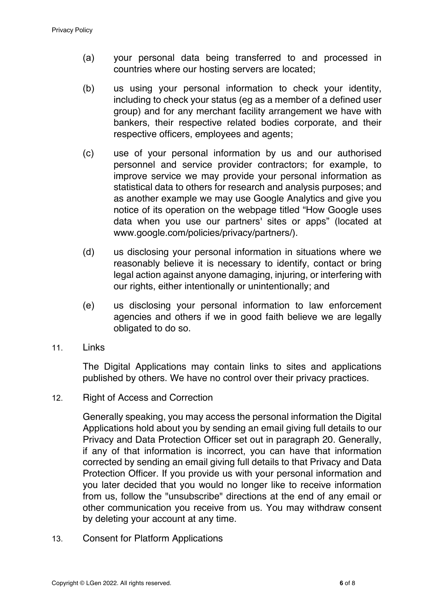- (a) your personal data being transferred to and processed in countries where our hosting servers are located;
- (b) us using your personal information to check your identity, including to check your status (eg as a member of a defined user group) and for any merchant facility arrangement we have with bankers, their respective related bodies corporate, and their respective officers, employees and agents;
- (c) use of your personal information by us and our authorised personnel and service provider contractors; for example, to improve service we may provide your personal information as statistical data to others for research and analysis purposes; and as another example we may use Google Analytics and give you notice of its operation on the webpage titled "How Google uses data when you use our partners' sites or apps" (located at www.google.com/policies/privacy/partners/).
- (d) us disclosing your personal information in situations where we reasonably believe it is necessary to identify, contact or bring legal action against anyone damaging, injuring, or interfering with our rights, either intentionally or unintentionally; and
- (e) us disclosing your personal information to law enforcement agencies and others if we in good faith believe we are legally obligated to do so.
- 11 links

The Digital Applications may contain links to sites and applications published by others. We have no control over their privacy practices.

12. Right of Access and Correction

Generally speaking, you may access the personal information the Digital Applications hold about you by sending an email giving full details to our Privacy and Data Protection Officer set out in paragraph 20. Generally, if any of that information is incorrect, you can have that information corrected by sending an email giving full details to that Privacy and Data Protection Officer. If you provide us with your personal information and you later decided that you would no longer like to receive information from us, follow the "unsubscribe" directions at the end of any email or other communication you receive from us. You may withdraw consent by deleting your account at any time.

13. Consent for Platform Applications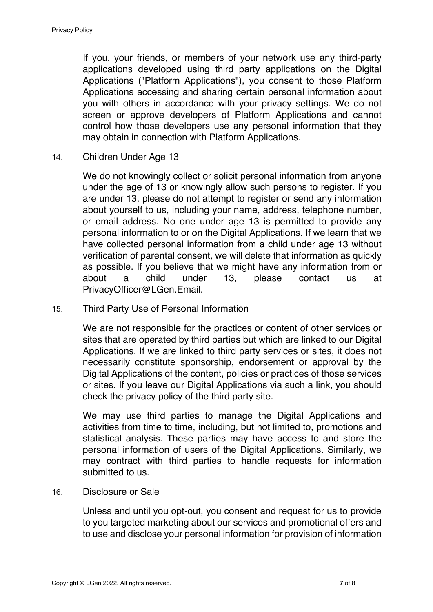If you, your friends, or members of your network use any third-party applications developed using third party applications on the Digital Applications ("Platform Applications"), you consent to those Platform Applications accessing and sharing certain personal information about you with others in accordance with your privacy settings. We do not screen or approve developers of Platform Applications and cannot control how those developers use any personal information that they may obtain in connection with Platform Applications.

14. Children Under Age 13

We do not knowingly collect or solicit personal information from anyone under the age of 13 or knowingly allow such persons to register. If you are under 13, please do not attempt to register or send any information about yourself to us, including your name, address, telephone number, or email address. No one under age 13 is permitted to provide any personal information to or on the Digital Applications. If we learn that we have collected personal information from a child under age 13 without verification of parental consent, we will delete that information as quickly as possible. If you believe that we might have any information from or about a child under 13, please contact us at PrivacyOfficer@LGen.Email.

15. Third Party Use of Personal Information

We are not responsible for the practices or content of other services or sites that are operated by third parties but which are linked to our Digital Applications. If we are linked to third party services or sites, it does not necessarily constitute sponsorship, endorsement or approval by the Digital Applications of the content, policies or practices of those services or sites. If you leave our Digital Applications via such a link, you should check the privacy policy of the third party site.

We may use third parties to manage the Digital Applications and activities from time to time, including, but not limited to, promotions and statistical analysis. These parties may have access to and store the personal information of users of the Digital Applications. Similarly, we may contract with third parties to handle requests for information submitted to us.

16. Disclosure or Sale

Unless and until you opt-out, you consent and request for us to provide to you targeted marketing about our services and promotional offers and to use and disclose your personal information for provision of information